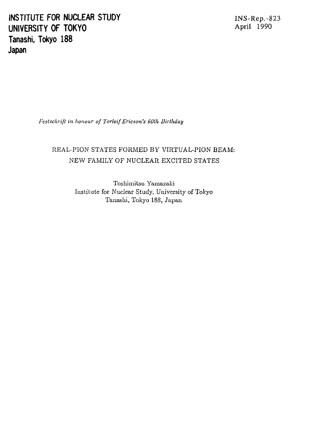**INSTITUTE FOR NUCLEAR STUDY INS-Rep.-823 UNIVERSITY OF TOKYO <sup>A</sup> P Tanashi, Tokyo 188 Japan**

**r i l 1990**

*Festschrift in honour of Torleif Ericson's 6Olh Birlhday*

# REAL-PION STATES FORMED BY VIRTUAL-PION BEAM: NEW FAMILY OF NUCLEAR EXCITED STATES

Toshimitsu Yamazaki Institute for Nuclear Study, University of Tokyo Tanashi, Tokyo 188, Japan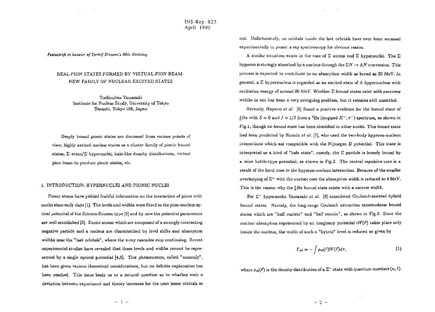INS-Rep.-823 April 1990

*Festschrift in honour of 7'orleif Ericson's 60th Uirlhduy*

## REAL-P1ON STATES FORMED BY VIRTUAL-PION BEAM: NEW FAMILY OF NUCLEAR EXCITED STATES

Toshimitsu Yamazaki Institute for Nuclear Study, University of Tokyo Tanashi, Tokyo 188, Japan

Deeply bound pionic states are discussed from various points of view; highly excited nuclear states as a cluster family of pionic bound states,  $\Sigma$  atom/ $\Sigma$  hypernuclei, halo-like density distributions, virtual pion beam to produce pionic states, *etc.*

## 3, INTRODUCTION: HYPERNUCLEI AND PIONIC NUCLEI

Pionic atoms have yielded fruitful information on the interaction of pions with nuclei since early days [1]. The levels and widths were fitted to the pion-nucleus optical potential of the Ericson-Ericson type [2] and by now the potential parameters are well established [3j. Exotic atoms which are composed of a strongly-interacting negative particle and a nucleus are characterized by level shifts and absorption widths near the "last orbitals", where the x-ray cascades stop continuing. Recent experimental studies have revealed that these levels and widths cannot be represented by a single optical potential [4,5]. This phenomenon, called "anomaly", has been given various theoretical considerations, but no definite explanation has been reached. This issue leads us to a natural question as to whether such a deviation between experiment and theory increases for the next inner orbitals or not. Unfortunately, no orbitala inside the last orbitals have ever been accessed experimentally in pionic x-ray spectroscopy for obvious reason.

A similar situation exists in the case of  $\Sigma$  atoms and  $\Sigma$  hypernuclei. The  $\Sigma$ hyperon is strongly absorbed by a nucleus through the  $\Sigma N \to \Lambda N$  conversion. This process is expected to contribute to an absorption width as broad as 20 MeV. In general, a  $\Sigma$  hypernucleus is regarded as an excited state of  $\Lambda$  hypernucleus with excitation energy of around *80* MeV. Whether £ bound states exist with narrower widths or not has been a very intriguing problem, but it remains still unsettled.

Recently, Hayano *et al.* [G] found a positive evidence for the bound state of  $^{4}_{E}$ He with  $S = 0$  and  $I = 1/2$  from a <sup>4</sup>He (stopped  $K^{-}$ ,  $\pi^{-}$ ) spectrum, as shown in Fig.l, though no bound state has been identified in other nuclei. This bound state had been predicted by Harada *et al.* [7], who used the two-body hyperon-nuclcon interactions which are compatible with the Nijmegen D potential. This state is interpreted as a kind of "halo state", namely, the  $\Sigma$  particle is loosely bound by a wine bottle-type potential, as shown in Fig.2. The central repulsive core is a result of the hard core in the hyperon-nucleon interaction. Because of the smaller overlapping of  $\Sigma^-$  with the nuclear core the absorption width is reduced to 4 MeV. This is the reason why the £He bound state exists with a narrow width.

For E~ hypernuclei Yamazaki *et at.* [8] considered Coulomb-assisted hybrid bound states. Namely, the long-range Coulomb attraction accomodates bound states which are "half nuclear" and "half atomic", as shown in Fig.3- Since the nuclear absorption represented by an imaginary potential  $iW(\vec{r})$  takes place only inside the nucleus, the width of such a "hybrid" level is reduced as given by

$$
\Gamma_{n\ell} = -\int \rho_{n\ell}(\vec{r}) W(\vec{r}) d\tau, \qquad (1)
$$

where  $\rho_{nl}(\vec{r})$  is the density distribution of a  $\Sigma^-$  state with quantum numbers  $(n, \ell)$ .

 $-2 -$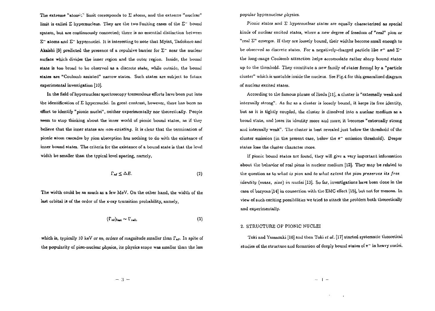The extreme "atomic" limit corresponds to  $\Sigma$  atoms, and the extreme "nuclear" limit is called  $\Sigma$  hypernucleus. They are the two limiting cases of the  $\Sigma^-$  bound system, but are continuously connected; there is no essential distinction between  $\Sigma^-$  atoms and  $\Sigma^-$  hypernuclei. It is interesting to note that Myint, Tadokoro and Akaishi [9] predicted the presence of a repulsive barrier for  $\Sigma^-$  near the nuclear surface which divides the inner region and the outer region. Inside, the bound state is too broad to be observed as a discrete state, while outside, the bound atatea are "Coulomb assisted" narrow states. Such states are subject to future experimental investigation [10].

In the field of hypernuclear spectroscopy tremendous efforts have been put into the identification of  $\Sigma$  hypernuclei. In great contrast, however, there has been no effort to identify "pionic nuclei", neither experimentally nor theoretically. People seem to stop thinking about the inner world of pionic bound states, as if they believe that the inner states are *non-existing.* It is clear that the termination of pionic atom cascades by pion absorption has nothing to do with the existence of inner bound states. The criteria for the existence of a bound state is that the level width be smaller than the typical level spacing, namely,

$$
\Gamma_{n\ell} \leq \Delta E. \tag{2}
$$

The width could be as much as a few MeV. On the other hand, the width of the last orbital is of the order of the x-ray transition probability, namely,

$$
(\Gamma_{\rm nt})_{\rm last} \sim \Gamma_{\rm rad},\tag{3}
$$

which is, typically 10 keV or *so,* orders of magnitude smaller than *Fn(.* In spite of the popularity *ol* pion-nuclear physics, its physics scope was smaller than the less popular hypernuclear physics.

Pionic states and  $\Sigma$  hypernuclear states are equally characterized as special kinds of nuclear excited states, where *a new* degree of freedom *oi* "real" pion or "rcai E" emerges. If they are *loosely* bound, their widths become small enough to be observed as discrete states. For a negatively-charged particle like  $\pi^-$  and  $\Sigma^$ the long-range Coulomb attraction helps accomodate rather sharp bound states up to the threshold. They constitute a new family of states formed by a "particle cluster" which is unstable inside the nucleus. See Fig. 4 for this generalized diagram of nuclear excited states.

According to the famous phrase of Ikeda [Ilj, a cluster is "externally weak and internally strong". As far as a cluster is loosely bound, it keeps its free identity, but as it is tightly coupled, the cluster is dissolved into a nuclear medium as a broad state, and loses its identity more and more; it becomes "externally strong and internally weak". The cluster is best revealed just below the threshold of the cluster emission (in the present case, below the  $\pi$ <sup>-</sup> emission threshold). Deeper states lose the cluster character more.

If pionic bound states are found, they will give a very important information about the behavior of real pions in nuclear medium [12]. They may be related to the question as to *what is pion* and *to what extent the pion preserves its free identity (mass, size) in nuclei* [13], So far, investigations have been done in the case of baryons [14] in connection with the EMC effect [15], but not for mesons. In view of such exciting possibilities we tried to attack the problem both theoretically and experimentally.

### 2. STRUCTURE OF PIONIC NUCLEI

Toki and Yainazaki [16] and then Toki et al. [17] started systematic theoretical studies of the structure and formation of deeply bound states of *n~* in heavy nuclei.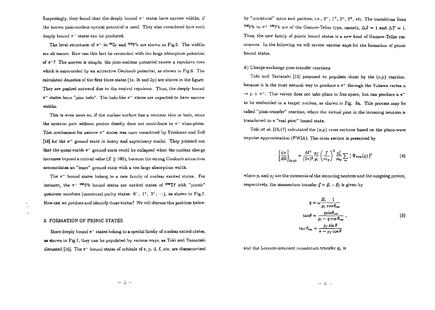Surprisingly, they found that the deeply bound  $\pi^-$  states have narrow widths, if the known pion-nucleus optical potential is used. They also considered how such deeply bound  $\pi^-$  states can be produced.

The level structures of  $\pi$ <sup>-</sup> in <sup>90</sup>Zr and <sup>208</sup>Pb are shown in Fig.5. The widths are all narow. How can this fact be reconciled with the large absorption potential *of*  $\pi$ <sup>-</sup>? The answer is simple; the pion-nucleus potential causes a repulsive core which is surrounded by an attractive Coulomb potential, as shown in Fig. 6. The calculated densities of the first three states (1s, 2s and 2p) are shown in the figure. They are pushed outward due to the central repulsion. Thus, the deeply bound  $\pi$ <sup>-</sup> states form "pion halo". The halo-like  $\pi$ <sup>-</sup> states are expected to have narrow widths.

This is even more so, if the nuclear surface has a neutron skin or halo, since the neutron part without proton density does not contribute to  $\pi$ <sup>-</sup> absorption. This mechanism for narrow *TT'* states was once considered by Friedman and Solf [18] for the  $\pi$ <sup>-</sup> ground state in heavy and superheavy nuclei. They pointed out that the quasi-stable  $\pi^-$  ground state could be collapsed when the nuclear charge increases beyond a critical value ( $Z \geq 100$ ), because the strong Coulomb attraction accomodates an "inner" ground state with a too large absorption width.

The  $\pi$ <sup>-</sup> bound states belong to a new family of nuclear excited states. For instance, the  $\pi$ <sup>-</sup> <sup>208</sup>Pb bound states are excited states of <sup>208</sup>T $\ell$  with "pionic" quantum numbers (unnatural-parity states:  $0^-, 1^+, 2^-, \cdots$ ), as shown in Fig.7. How can we produce and identify those states? We will discuss this problem below.

#### 3. FORMATION OF PIONIC STATES

 $\ddot{\phantom{a}}$  $\mathbf{v}$ 

> Since deeply bound *n~* states belong to a special family of nuclear excied states, as shown in Fig.7, they can be populated by various ways, as Toki and Yamazaki discussed [1GJ. The *n~* bound states of orbitals of s, p, d, f, *etc.* are characterized

by "unnatural" spins and parities, *i.e.*, 0<sup>-</sup>, 1<sup>+</sup>, 2<sup>-</sup>, 3<sup>+</sup>, etc. The transitions from <sup>208</sup>Pb to  $\pi$ <sup>-</sup> <sup>208</sup>Pb are of the Gamow-Teller type, namely,  $\Delta S = 1$  and  $\Delta T = 1$ . Thus, the new family of pionic bound states is a new kind of Gamow-Teller resonances. In the following we will review various ways for the formation of pionic bound states.

#### A) Charge-exchange pion-transfer reactions

Toki and Yamazaki [1G] proposed to populate them by the (n,p) reaction, because it is the most natural way to produce a  $\pi^-$  through the Yukawa vertex n  $\rightarrow$  p +  $\pi^-$ . This vertex does not take place in free spece, but can produce a  $\pi^$ to be embedded in a target nucleus, as shown in Fig. 8a. This process may bs called "pion-transfer" reaction, where the virtual pion in the incoming neutron is transferred to a "real pion" bound state.

Toki *et al,* [16,17] calculated the (n,p) cross sections based on the plane-wave impulse approximation (PWIA). The cross section is presented by

$$
\left[\frac{\mathrm{d}\sigma}{\mathrm{d}\Omega}\right]_{\text{(m,p)}} = \frac{M^2}{(2\pi)^2} \frac{p_I}{p_i} \left(\frac{f}{m_\pi}\right)^2 \frac{q_L^2}{m_\pi} \sum_m |\Psi_{\text{n\ell m}}(q)|^2 \tag{4}
$$

where  $p_i$  and  $p_j$  are the momenta of the incoming neutron and the outgoing proton, respectively, the momentum transfer  $\vec{q} = \vec{p}_i - \vec{p}_f$  is given by

$$
q = \omega \frac{E_i}{p_i} \frac{1}{\cos \theta_{\text{rec}}}
$$
  
\n
$$
\tan \theta = \frac{q \sin \theta_{\text{rec}}}{p_i - q \cos \theta_{\text{rec}}},
$$
  
\n
$$
\tan \theta_{\text{rec}} = \frac{p_f \sin \theta}{\pi - p_f \cos \theta}
$$
 (5)

and the Lorentz-invariant momentum transfer *qu* is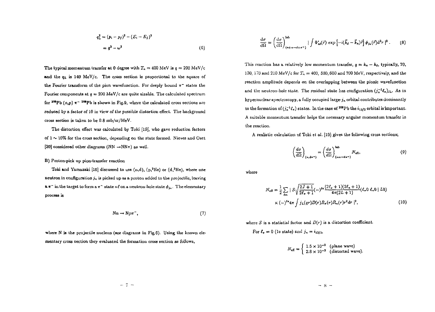$$
q_{\mathsf{L}}^2 = (p_i - p_f)^2 - (E_i - E_f)^2
$$
  
=  $q^2 - \omega^2$  (6)

The typical momentum transfer at 0 degree with  $T_n = 400$  MeV is  $q = 200$  MeV/c and the  $q_L$  is 140 MeV/c. The cross section is proportional to the square of the Fourier transform of the pion wavefunction. For deeply bound  $\pi^-$  states the Fourier components at  $q = 200$  MeV/c are quite sizable. The calculated spectrum for <sup>208</sup>Pb (n,p)  $\pi$  <sup>-208</sup>Pb is shown in Fig.9, where the calculated cross sections are reduced by a factor of 10 in view of the possible distortion effect. The background cross section is taken to be 0.8 mb/sr/MeV.

The distortion effect was calculated by Toki [19|, who gave reduction factors of  $1 \sim 10\%$  for the cross section, depending on the state formed. Nieves and Oset [20] considered other diagrams (NN  $\rightarrow$ NN $\pi$ ) as well.

## B) Proton-pick up pion-transfer reaction

Toki and Yamazaki [16] discussed to use  $(n,d)$ ,  $(p, ^{2}He)$  or  $(d, ^{3}He)$ , where one neutron in configuration  $j_n$  is picked up as a proton added to the projectile, leaving  $a \pi^-$  in the target to form a  $\pi^-$  state  $n\ell$  on a neutron-hole state  $\phi_{j_n}$ . The elementary process is

$$
Nn \to Np\pi^-, \tag{7}
$$

where N is the projectile nucleon (see diagrams in Fig.6). Using the known elementary cross section they evaluated the formation cross section as follows,

$$
\frac{d\sigma}{d\Omega} = \left(\frac{d\sigma}{d\Omega}\right)_{(n+n-d+r)}^{i\text{ab}} \left\{ \int \Phi_{n\ell}^*(\vec{r}) \exp\left[-i(\vec{k}_d - \vec{k}_n)\vec{r}\right] \phi_{j_n}(\vec{r}) d^3r \right\}^2. \tag{8}
$$

This reaction has a relatively low momentum transfer,  $q = k_n - k_d$ , typically, 70, 130, 170 and 210 MeV/c for *Tn =* 400, 500,600 and 700 MeV, respectively, and the reaction amplitude depends on the overlapping between the pionic wavefunction and the neutron-hole state. The residual state has configuration  $(j_n^{-1}\ell_x)_{\text{SL}}$ . As in hypernuclear spectroscopy, a fully occupied large- $j<sub>n</sub>$  orbital contributes dominantly to the formation of  $(j_n^{-1}\ell_\pi)$  states. In the case of <sup>208</sup>Pb the  $i_{13/2}$  orbital is important. A suitable momentum transfer helps the necessary angular momentum transfer in the reaction.

A realistic calculation of Toki et *al.* [19] gives the following cross sections;

$$
\left(\frac{d\sigma}{d\Omega}\right)_{(n,\mathbf{d}\pi^{-})} = \left(\frac{d\sigma}{d\Omega}\right)_{(nn \to \mathbf{d}\pi^{-})} N_{\mathbf{eff}_1}
$$
\n(9)

where

$$
N_{\rm eff} = \frac{1}{2} \sum_{\ell m} \mid S \sqrt{\frac{2J+1}{2\ell_{\pi}+1}} (-)^{\ell n} \frac{(2\ell_{\pi}+1)(2\ell_{n}+1)}{4\pi(2L+1)} (\ell_{\pi} 0 \ell_{n} 0 \mid L 0)
$$
  
 
$$
\times (-)^{\ell n} 4\pi \int j_{L}(qr) D(r) R_{\pi}(r) R_{n}(r) r^{2} dr \mid^{2},
$$
 (10)

where S is a statistial factor and  $D(r)$  is a distortion coefficient.

For  $\ell_r = 0$  (1s state) and  $j_n = i_{13/2}$ ,

$$
N_{\text{eff}} = \begin{cases} 1.5 \times 10^{-2} & \text{(plane wave)}\\ 2.8 \times 10^{-3} & \text{(distorted wave)} \end{cases}
$$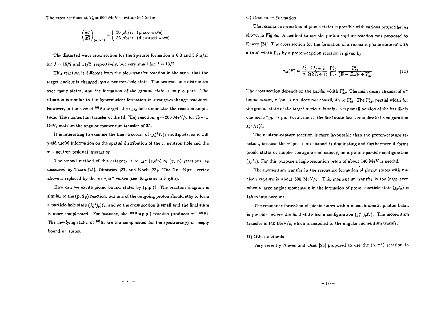$$
\left(\frac{d\sigma}{d\Omega}\right)_{\{n,\text{d}x^*\}} = \begin{cases} 30 \text{ }\mu\text{b/sr} \quad \text{(plane wave)}\\ 56 \text{ }\mu\text{b/sr} \quad \text{(distorted wave)} \end{cases}
$$

The distorted wave cross section for the 2p-state formation is  $6.0$  and  $3.6 \mu/sr$ for  $J = 15/2$  and 11/2, respectively, but very small for  $J = 13/2$ .

This reaction is different from the pion-transfer reaction in the sense that the target nucleus is changed into a neutron-hole state. The neutron hole distributes over many states, and the formation of the ground state is only a part. The situation is similar to the hypernuclear formation in strange-exchange reactions. However, in the case of <sup>208</sup>Pb target, the  $_{13/2}$  hole dominates the reaction amplitude. The momentum transfer of the (d. <sup>3</sup>He) reaction,  $q \sim 200$  MeV/c for  $T_d \sim 1$ GeV, matches the angular momentum transfer of *Gh.*

It is interesting to examine the fine structure of  $(j_n^{-1}\ell_n)_j$  multiplets, as it will yield useful information on the spatial distribution of the  $j_n$  neutron hole and the  $\pi$ <sup>-</sup>- neutron residual interaction.

The second method of this category is to use (e,e'p) or  $(\gamma, p)$  reactions, as discussed by Tzara [21], Dimitriev [22] and Koch [23]. The  $Nn \rightarrow Np\pi^-$  vertex above is replaced by the  $\gamma_n \rightarrow p\pi^-$  vertex (see diagrams in Fig.8b).

How can we excite pionic bound states by  $(p, p')$ ? The reaction diagram is similar to the (p, 2p) reaction, but one of the outgoing proton should stay to form a particle-hole state  $(j^{-1}_n)_e$ , and so the cross section is small and the final state is more complicated. For instance, the <sup>208</sup>Pb( $p, p'$ ) reaction produces  $\pi^{-208}$ Bi. The low-lying states of <sup>308</sup>Bi are too complicated for the spectroscopy *of* deeply bound  $\pi^-$  states.

#### C) Resonance Formation

The resonance formation of pionic states is possible with various projectiles, as shown in Fig.8c. A method to use the proton-capture reaction was proposed by Emery [24]. The cross section for the formation of a resonant pionic state ne with a total width  $\Gamma_{n\ell}$  by a proton-caption reaction is given by

$$
\sigma_{n\ell}(E) = \frac{\lambda_p^2}{\pi} \frac{2J_f + 1}{2(2J_i + 1)} \frac{\Gamma_{n\ell}^p}{\Gamma_{n\ell}} \frac{\Gamma_{n\ell}^2}{(E - E_{n\ell})^2 + \Gamma_{n\ell}^2}
$$
(11)

The cross section depends on the partial width  $\Gamma_{n\ell}^p$ . The main decay channel of  $\pi^$ bound states,  $\pi$ <sup>-</sup>pn  $\rightarrow$  nn, does not contribute to  $\Gamma_{nl}^p$ . The  $\Gamma_{nl}^p$ , partial width for the ground state of the target nucleus, is only  $\epsilon$  very small portion of the less likely channel  $\pi$ <sup>-</sup>pp  $\rightarrow$  pn. Furthermore, the final state has a complicated configuration  $j_{n}^{-1}j_{p}j_{p}'\ell_{x}$ .

The neutron-capture reaction is more favourable than the proton-capture reaction, because the  $\pi$ <sup>-</sup>pn  $\rightarrow$  nn channel is dominating and furthermore it forms pionic states of simpler contiguration, namely, on a proton-par tide contiguration  $(j_p\ell_n)$ . For this purpose a high-resolution beam of about 140 MeV is needed.

The momentum transfer in the resonance formation of pionic states with nucleon capture is about 500 MeV/c. This momentum transfer is too large even when a large anglar momentum in the formation of proton-particle state  $(j_p \ell_*)$  is taken into account.

The resonance formation of pionic states with a monochromatic photon beam is possible, where the final state has a configuration  $(j_n^{-1}j_p\ell_n)$ . The momentum transfer is  $140 \text{ MeV/c}$ , which is matched to the angular momentum transfer.

D) Other methods

Very recently Nieves and Oset [25] proposed to use the  $(\gamma, \pi^+)$  reaction to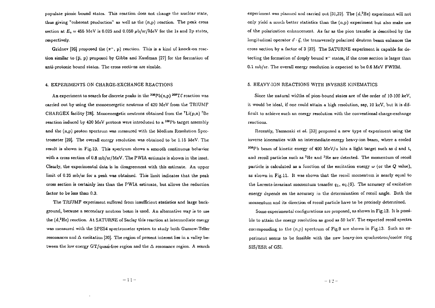populate pionic bound states. This reaction does not change the nuclear state, thus giving "coherent production" as well as the  $(n,p)$  reaction. The peak cross section at  $E_r = 455$  MeV is 0.025 and 0.050  $\mu$ b/sr/MeV for the 1s and 2p states, respectively.

Gridnev [26] proposed the  $(\pi^{-}, p)$  reaction. This is a kind of knock-on reaction similar to  $(\bar{p}, p)$  proposed by Gibbs and Kaufman [27] for the formation of anti-protonic bound states. The cross sections are sizable.

#### 4. EXPERIMENTS ON CHARGE-EXCHANGE REACTIONS

An experiment to search for discrete peaks in the  $^{208}\mathrm{Pb}(\mathrm{n,p})$   $^{208}\mathrm{T}\ell$  reaction was carried out by using the monoenergetic neutrons of 420 MeV from the TIUUMF CHARGEX facility [28]. Monoenergetic neutrons obtained from the  ${}^{7}Li(p,n)$   ${}^{7}Be$ reaction induced by  $420$  MeV protons were introduced to a  $^{208}$ Pb target assembly and the (n,p) proton spectrum was measured with the Medium Resolution Spectrometer [29]. The overall energy resolution was obtained to be 1.15 MeV. The result is shown in Fig. 10. This spectrum shows a smooth continuous behavior with a cross section of 0.8 mb/sr/MeV. The PWIA estimate is shown in the inset. Clearly, the experimental data is in disagreement with this estimate. An upper limit of 0.35 mb/sr for a peak was obtained. This limit indicates that the peak cross section is certainly less than the PWIA estimate, but allows the reduction factor to be *less* than 0.3.

The TRIUMF experiment suffered from insufficient statistics and large background, because a secondary neutron beam is used. An alternative way is to use the  $(d<sup>2</sup>He)$  reaction. At SATURNE of Saclay this reaction at intermediate energy was measured with the SPES4 spectrometer system to study both Gamow-Teller resonances and  $\Delta$  excitation [30]. The region of present interest lies in a valley between the low energy GT/quasi-free region and the  $\Delta$  resonance region. A search

experiment was planned and carried out  $[31,32]$ . The  $(d,^2He)$  experiment will not only yield a much better statistics than the (n,p) experiment but also make use of the polarization enhancement. As far as the pion transfer is described by the longitudinal operator  $\vec{\sigma} \cdot \vec{q}$ , the transversely polarized deutron beam enhances the cross section by a factor of 3 [32]. The SATURNE experiment is capable for detecting the formation of deeply bound *n~* states, if the cross section is larger than 0.1 mb/sr. The overall energy resolution is expected to be 0.6 MeV FWHM.

## 5. HEAVY-ION REACTIONS WITH INVERSE KINEMATICS

Since the natural widths of pion-bound states are of the order of  $10-100$  keV. it would be ideal, if one could attain a high resolution, say, 10 keV, but it is difficult to achieve such an energy resolution with the conventional charge-exchange reactions.

Recently, Yamazaki *et al.* [33] proposed a new type of experiment using the inverse kinematics with an intermediate-energy heavy-ion beam, where a cooled  $308Pb$  beam of kinetic energy of  $400$  MeV/u hits a light target such as d and t, and recoil particles such as <sup>3</sup>He and <sup>3</sup>He are detected. The momentum of recoil particle is calculated as a function of the excitation energy  $\omega$  (or the  $Q$  value), as shown in Fig.11. It was shown that the recoil momentum is nearly equal to the Lorentz-invariant momentum transfer  $q_L$ , eq.(6). The accuracy of excitation energy depends on the accuracy in the determination of recoil angle. Both the momentum and its direction of recoil particle have to be precisely determined.

Some experimental configurations are proposed, as shown in Fig.12. It is possible to attain the energy resolution as good as 50 keV. The expected recoil spectra corresponding to the  $(n,p)$  spectrum of Fig.9 are shown in Fig.13. Such an experiment seems to be feasible with the new heavy-ion synchrotron/cooler ring SIS/ESR of GSI.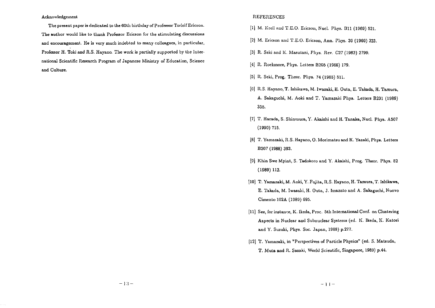#### Acknowledgement

The present paper is dedicated to the 60th birthday of Professor Torleif Ericson. The author would like to thank Professor Ericson for the stimulating discussions and encouragement. He is very much indebted to many colleagues, in particular, Professor H. Toki and *R.S.* Hayano. The work is partially supported by the International Scientific Research Program of Japanese Ministry of Education, Science and Culture.

## REFERENCES

- [1] M. Krell and T.E.O. Ericson, Nucl. Phys. B11 (1969) 521.
- [2] M. Ericson and T.E.O. Ericson, Ann. Phys. 3G (1966) 323.
- [3J R. Seki and K. Masutani, Phys. Rev. C27 (1983) 2799.
- [4] R. Rockmore, Phys. Letters B205 (1988) 179.
- (5] R. Seki, Prog. Theor. Phys. 74 (1985) 511.
- [6] R.S. Hayano, T. Ishikawa, M. Iwasaki, H. Outa, E. Takada, H. Tamura, A. Sakaguchi, M. Aoki and T. Yamazaki Phys. Letters B231 (1989) 355.
- [7] T. Harada, S. Shinmura, Y. Akaishi and H. Tanaka, Nucl. Phys. A507 (1990) 715.
- [8] T. Yamazaki, R.S. Hayano, 0. Morimatsu and K. Yazaki, Phys. Letters B207 (1988) 393.
- (9] Khin Swe Myint, S. Tadokoro and Y. Akaishi, Prog. Theor. Phys. 82 (1989) 112.
- [10] T. Yamazaki, M. Aoki, Y. Fujita, R.S. Hayano, H. Tamura, T. Ishikawa, E. Takada, M, Iwasaki, H. Outa, J. Imazato and A. Sakaguchi, Nuovo Cimento 102A (1989) 695.
- [11] See, for instance, K. Ikeda, Proc. 5th International Conf. on Clustering Aspects in Nuclear and Subnuclear Systems (ed. K. Ikeda, K. Katori and Y. Suzuki, Phys. Soc. Japan, 1988) p.277.
- [12] T. Yamazaki, in "Perspectives of Particle Physics" (ed. S. Matsuda, T. Muta and *R.* Sasaki, World Scientific, Singapore, 1989) p.44.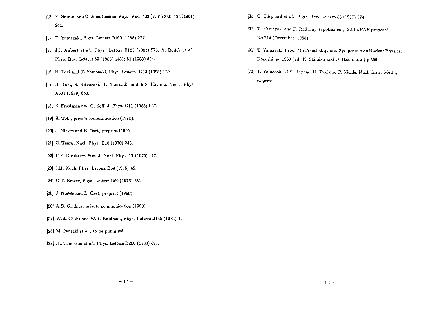- [13] Y. Nambu and G. Jona-Lasinio, Phys. Rev. 122 (1961) 345; 124 (1961) 246.
- [14] T. Yamazaki, Phys. Letters B169 (1985) 227.
- [15] J.J. Aubert et al., Phys. Letters B123 (1983) 275; A. Bodek et al., Phys. Rev. Letters 50 (19S3) 1431; 51 (19S3) 534.
- [16] H. Toki and T. Yamazaki, Phys. Letters B213 (1988) 129.
- [17] H. Toki, S. Hirenzaki, T. Yamazaki and R.S. Hayano, Nucl. Phys. A501 (1989) 653.
- [18] E. Friedman and G. Soff, J. Phys. Gil (1985) L37.
- [19) H. Toki, private communication (1990).
- [20] J. Nieves and E. Oset, preprint (1990).
- [21] C. Tzara, Nucl. Phys. D18 (1970) 246.
- [22] U.F. Dimitriev, Sov. J. Nucl. Phys. 17 (1973) 417.
- [23] J.H. Koch, Phys. Letters B59 (1975) 45.
- [24] G.T. Emery, Phys. Letters BOO (1976) 351.
- [25] J. Nieves and E. Osel, preprint (1990).
- (26] A.B. Gridnev, private communication (1990).
- (27) W.R. Gibbs and W.B. Kaufman, Phys. Letters B145 (1984) 1.
- [28] M. Iwosaki *et al.,* to be published.
- [29] K.P. Jackson *et al.,* Phys. Letters B200 (1988) 597.
- [30] C. Ellegaard et al., Phys. Rev. Letters 59 (1987) 974.
- [31] T. Yamazaki and P. Radvanyi (spokesman), SATURNE proposal No.214 (December, 1988).
- [32] T. Yamazaki, Proc. 5th French-Japanese; Symposium on Nuclear Physics, Dogashima, 1989 (ed. K. Shimizu and 0. Hashimoto) p.309.
- [33) T. Yamazaki, R.S. Hayano, H. Toki and P. Kienle, Nucl. Instr. Meth., in press.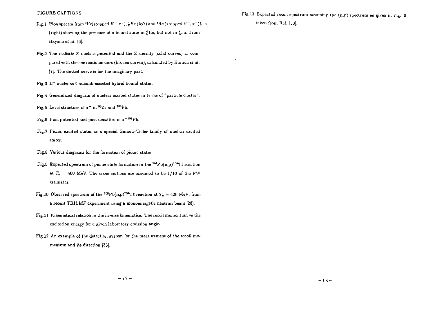- Fig.1 Pion spectra from "He(stopped  $K^+,\pi^+$ ),  $^*_L$ He (left) and "He (stopped  $K^+,\pi^+)\frac{1}{L}$  ) (right) showing the presence of a bound state in  $^{4}_{E}$ He, but not in  $^{4}_{E}$ -n. From Hayano et *at.* [6].
- Fig.2 The realistic  $\Sigma$ -nucleus potential and the  $\Sigma$  density (solid curves) as compared with the conventional ones (broken curves), calculated by Harada *et al.* [7]. The dotted curve is for the imaginary part.
- Fig.3  $\Sigma^*$  nuclei as Coulomb-assisted hybrid bound states.
- Fig-4 Generalized diagram of nuclear excited states in terns of "particle cluster".
- Fig.5 Level structure of  $\pi^-$  in  $^{90}Zr$  and  $^{208}Pb$ .
- Fig.6 Pion potential and pion densities in  $\pi^{-208}Pb$ .
- Fig.7 Pionic excited states as a special Gamow-Teller family of nuclear excited states.
- Fig.8 Various diagrams for the formation of pionic states.
- Fig.9 Expected spectrum of pionic state formation in the  $^{208}\mathrm{Pb(n,p)}^{208}\mathrm{T}\ell$  reaction at  $T_n = 400$  MeV. The cross sections are assumed to be  $1/10$  of the PW estimates.
- Fig.10 Observed spectrum of the <sup>208</sup>Pb(n,p)<sup>208</sup>T $\ell$  reaction at  $T_n = 420$  MeV, from a recent TRIUMF experiment using a monoenergetic neutron beam [28).
- Fig. 11 Kinematical relation in the inverse kinematics. The recoil momentum va the excitation energy for a given laboratory emission angle.
- Fig.12 An example of the detection system for the measurement of the recoil momentum and its direction [33].

Fig.13 Expected recoil spectrum assuming the  $(n,p)$  spectrum as given in Fig. 9. taken from Ref. [33].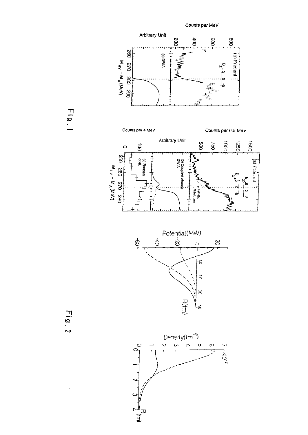

Fig.1

Fig. 2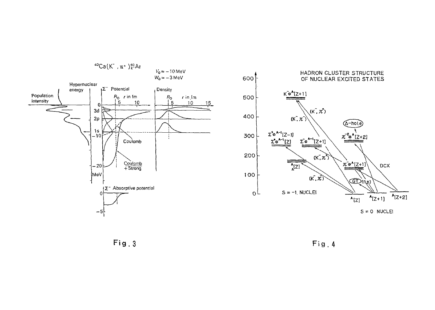

 $Fig. 3$ 

Fig.4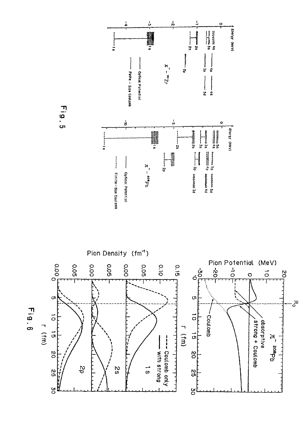



Fig.5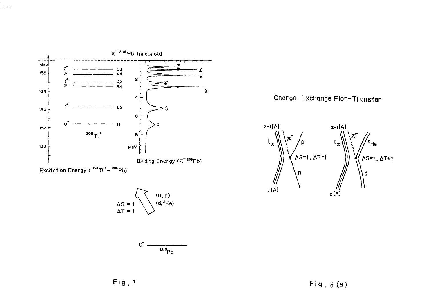

l<br>Geografi





Charge-Exchange Pion-Transfer



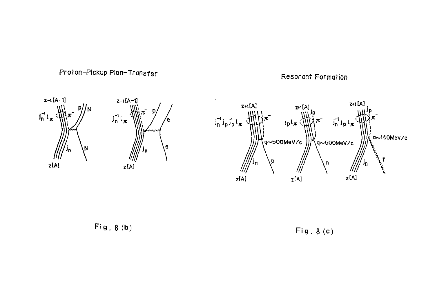

Έe.

Resonant Formation





Fig. 8 (b)

Fig . 8 (c)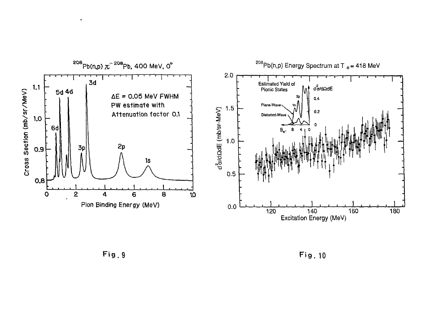

 $\bullet$ 

**Fig.**9 Fig. 10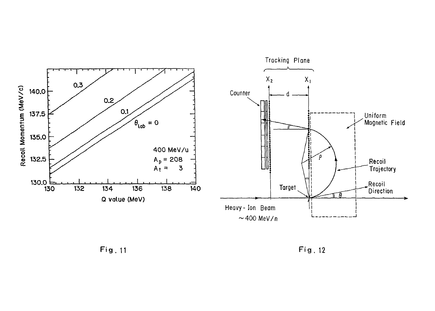

**Fig . 11 Fig .** 12